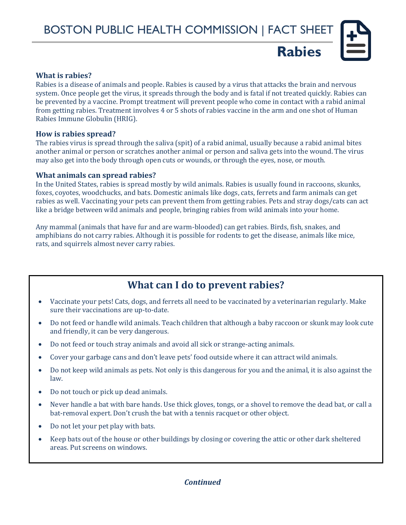**Rabies**

#### **What is rabies?**

Rabies is a disease of animals and people. Rabies is caused by a virus that attacks the brain and nervous system. Once people get the virus, it spreads through the body and is fatal if not treated quickly. Rabies can be prevented by a vaccine. Prompt treatment will prevent people who come in contact with a rabid animal from getting rabies. Treatment involves 4 or 5 shots of rabies vaccine in the arm and one shot of Human Rabies Immune Globulin (HRIG).

#### **How is rabies spread?**

The rabies virus is spread through the saliva (spit) of a rabid animal, usually because a rabid animal bites another animal or person or scratches another animal or person and saliva gets into the wound. The virus may also get into the body through open cuts or wounds, or through the eyes, nose, or mouth.

#### **What animals can spread rabies?**

In the United States, rabies is spread mostly by wild animals. Rabies is usually found in raccoons, skunks, foxes, coyotes, woodchucks, and bats. Domestic animals like dogs, cats, ferrets and farm animals can get rabies as well. Vaccinating your pets can prevent them from getting rabies. Pets and stray dogs/cats can act like a bridge between wild animals and people, bringing rabies from wild animals into your home.

Any mammal (animals that have fur and are warm-blooded) can get rabies. Birds, fish, snakes, and amphibians do not carry rabies. Although it is possible for rodents to get the disease, animals like mice, rats, and squirrels almost never carry rabies.

## **What can I do to prevent rabies?**

- Vaccinate your pets! Cats, dogs, and ferrets all need to be vaccinated by a veterinarian regularly. Make sure their vaccinations are up-to-date.
- Do not feed or handle wild animals. Teach children that although a baby raccoon or skunk may look cute and friendly, it can be very dangerous.
- Do not feed or touch stray animals and avoid all sick or strange-acting animals.
- Cover your garbage cans and don't leave pets' food outside where it can attract wild animals.
- Do not keep wild animals as pets. Not only is this dangerous for you and the animal, it is also against the law.
- Do not touch or pick up dead animals.
- Never handle a bat with bare hands. Use thick gloves, tongs, or a shovel to remove the dead bat, or call a bat-removal expert. Don't crush the bat with a tennis racquet or other object.
- Do not let your pet play with bats.
- Keep bats out of the house or other buildings by closing or covering the attic or other dark sheltered areas. Put screens on windows.

## *Continued*